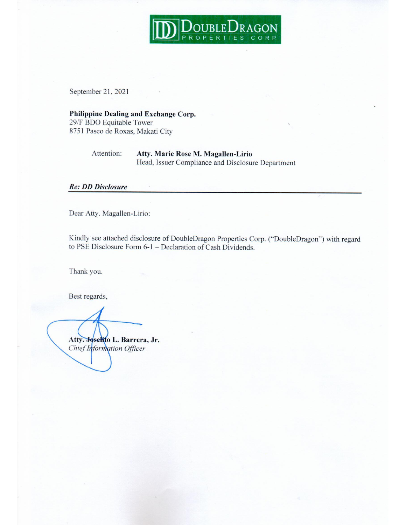

September 21, 2021

## Philippine Dealing and Exchange Corp.

29/F BDO Equitable Tower 8751 Paseo de Roxas, Makati City

#### Attention: Atty. Marie Rose M. Magallen-Lirio Head, Issuer Compliance and Disclosure Department

### **Re: DD Disclosure**

Dear Atty. Magallen-Lirio:

Kindly see attached disclosure of DoubleDragon Properties Corp. ("DoubleDragon") with regard to PSE Disclosure Form 6-1 - Declaration of Cash Dividends.

Thank you.

Best regards,

Atty. Joselito L. Barrera, Jr. Chief Information Officer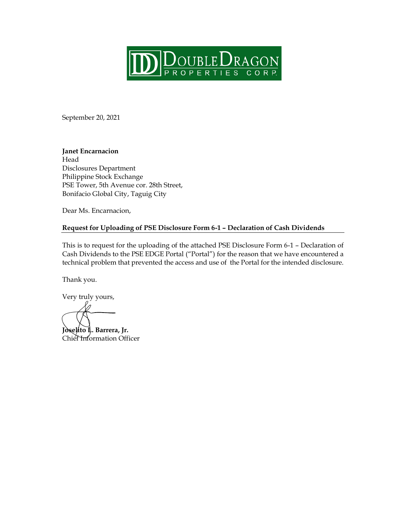

September 20, 2021

### **Janet Encarnacion**

Head Disclosures Department Philippine Stock Exchange PSE Tower, 5th Avenue cor. 28th Street, Bonifacio Global City, Taguig City

Dear Ms. Encarnacion,

### **Request for Uploading of PSE Disclosure Form 6-1 – Declaration of Cash Dividends**

This is to request for the uploading of the attached PSE Disclosure Form 6-1 – Declaration of Cash Dividends to the PSE EDGE Portal ("Portal") for the reason that we have encountered a technical problem that prevented the access and use of the Portal for the intended disclosure.

Thank you.

Very truly yours,

**Joselito L. Barrera, Jr.** Chief Information Officer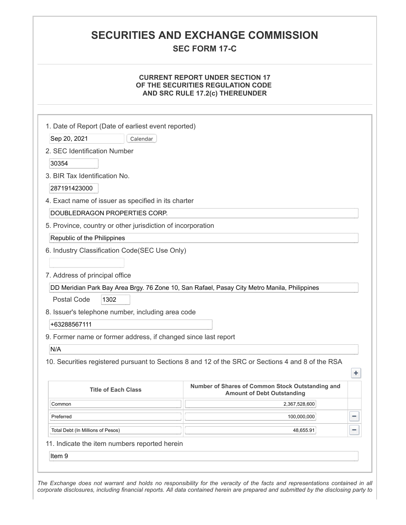## **SECURITIES AND EXCHANGE COMMISSION**

**SEC FORM 17-C**

#### **CURRENT REPORT UNDER SECTION 17 OF THE SECURITIES REGULATION CODE AND SRC RULE 17.2(c) THEREUNDER**

| Sep 20, 2021<br>Calendar                                       |                                                                                                   |   |
|----------------------------------------------------------------|---------------------------------------------------------------------------------------------------|---|
| 2. SEC Identification Number                                   |                                                                                                   |   |
| 30354                                                          |                                                                                                   |   |
| 3. BIR Tax Identification No.                                  |                                                                                                   |   |
| 287191423000                                                   |                                                                                                   |   |
| 4. Exact name of issuer as specified in its charter            |                                                                                                   |   |
| DOUBLEDRAGON PROPERTIES CORP.                                  |                                                                                                   |   |
| 5. Province, country or other jurisdiction of incorporation    |                                                                                                   |   |
| Republic of the Philippines                                    |                                                                                                   |   |
| 6. Industry Classification Code(SEC Use Only)                  |                                                                                                   |   |
|                                                                |                                                                                                   |   |
| 7. Address of principal office                                 |                                                                                                   |   |
|                                                                | DD Meridian Park Bay Area Brgy. 76 Zone 10, San Rafael, Pasay City Metro Manila, Philippines      |   |
| Postal Code<br>1302                                            |                                                                                                   |   |
| 8. Issuer's telephone number, including area code              |                                                                                                   |   |
| +63288567111                                                   |                                                                                                   |   |
| 9. Former name or former address, if changed since last report |                                                                                                   |   |
| N/A                                                            |                                                                                                   |   |
|                                                                | 10. Securities registered pursuant to Sections 8 and 12 of the SRC or Sections 4 and 8 of the RSA |   |
|                                                                |                                                                                                   | + |
| <b>Title of Each Class</b>                                     | Number of Shares of Common Stock Outstanding and<br><b>Amount of Debt Outstanding</b>             |   |
| Common                                                         | 2.367.528.600                                                                                     |   |
| Preferred                                                      | 100,000,000                                                                                       |   |
| Total Debt (In Millions of Pesos)                              | 48,655.91                                                                                         |   |
| 11. Indicate the item numbers reported herein                  |                                                                                                   |   |
|                                                                |                                                                                                   |   |

*corporate disclosures, including financial reports. All data contained herein are prepared and submitted by the disclosing party to*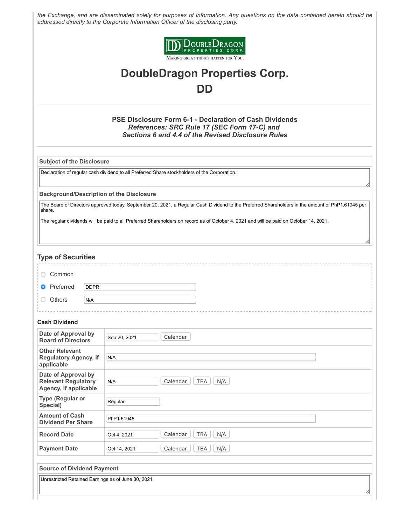*the Exchange, and are disseminated solely for purposes of information. Any questions on the data contained herein should be addressed directly to the Corporate Information Officer of the disclosing party.*



# **DoubleDragon Properties Corp. DD**

#### **PSE Disclosure Form 6-1 - Declaration of Cash Dividends** *References: SRC Rule 17 (SEC Form 17-C) and Sections 6 and 4.4 of the Revised Disclosure Rules*

**Subject of the Disclosure**

Declaration of regular cash dividend to all Preferred Share stockholders of the Corporation.

**Background/Description of the Disclosure**

The Board of Directors approved today, September 20, 2021, a Regular Cash Dividend to the Preferred Shareholders in the amount of PhP1.61945 per share.

The regular dividends will be paid to all Preferred Shareholders on record as of October 4, 2021 and will be paid on October 14, 2021.

#### **Type of Securities**

| <b>Common</b>                 |      |  |
|-------------------------------|------|--|
| <b>O</b> Preferred            | DDPR |  |
| $\circlearrowright$<br>Others | N/A  |  |

#### **Cash Dividend**

| Date of Approval by<br><b>Board of Directors</b>                           | Calendar<br>Sep 20, 2021                      |
|----------------------------------------------------------------------------|-----------------------------------------------|
| <b>Other Relevant</b><br><b>Regulatory Agency, if</b><br>applicable        | N/A                                           |
| Date of Approval by<br><b>Relevant Regulatory</b><br>Agency, if applicable | <b>TBA</b><br>Calendar<br>N/A<br>N/A          |
| Type (Regular or<br>Special)                                               | Regular                                       |
| <b>Amount of Cash</b><br><b>Dividend Per Share</b>                         | PhP1.61945                                    |
| <b>Record Date</b>                                                         | Calendar<br><b>TBA</b><br>N/A<br>Oct 4, 2021  |
| <b>Payment Date</b>                                                        | <b>TBA</b><br>N/A<br>Calendar<br>Oct 14, 2021 |
|                                                                            |                                               |

**Source of Dividend Payment**

Unrestricted Retained Earnings as of June 30, 2021.